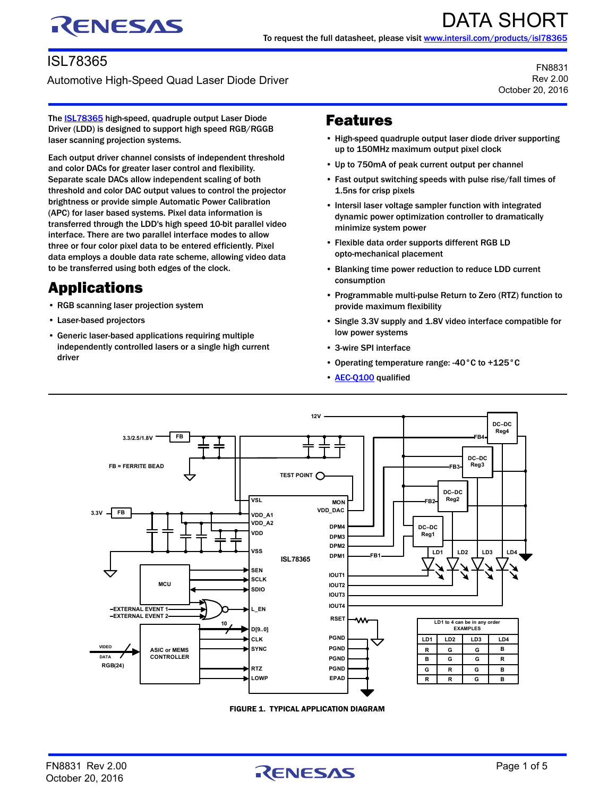# RENESAS

#### ISL78365

Automotive High-Speed Quad Laser Diode Driver

FN8831 Rev 2.00 October 20, 2016

The **ISL78365** high-speed, quadruple output Laser Diode Driver (LDD) is designed to support high speed RGB/RGGB laser scanning projection systems.

Each output driver channel consists of independent threshold and color DACs for greater laser control and flexibility. Separate scale DACs allow independent scaling of both threshold and color DAC output values to control the projector brightness or provide simple Automatic Power Calibration (APC) for laser based systems. Pixel data information is transferred through the LDD's high speed 10-bit parallel video interface. There are two parallel interface modes to allow three or four color pixel data to be entered efficiently. Pixel data employs a double data rate scheme, allowing video data to be transferred using both edges of the clock.

# Applications

- RGB scanning laser projection system
- Laser-based projectors
- Generic laser-based applications requiring multiple independently controlled lasers or a single high current driver

#### Features

- High-speed quadruple output laser diode driver supporting up to 150MHz maximum output pixel clock
- Up to 750mA of peak current output per channel
- Fast output switching speeds with pulse rise/fall times of 1.5ns for crisp pixels
- Intersil laser voltage sampler function with integrated dynamic power optimization controller to dramatically minimize system power
- Flexible data order supports different RGB LD opto-mechanical placement
- Blanking time power reduction to reduce LDD current consumption
- Programmable multi-pulse Return to Zero (RTZ) function to provide maximum flexibility
- Single 3.3V supply and 1.8V video interface compatible for low power systems
- 3-wire SPI interface
- Operating temperature range: -40°C to +125°C
- **[AEC-Q100](http://www.intersil.com/content/intersil/en/products/end-market-specific/automotive-ics/aec-q100.html?utm_source=intersil&utm_medium=datasheet&utm_campaign=isl78365-ds-features)** qualified



FIGURE 1. TYPICAL APPLICATION DIAGRAM

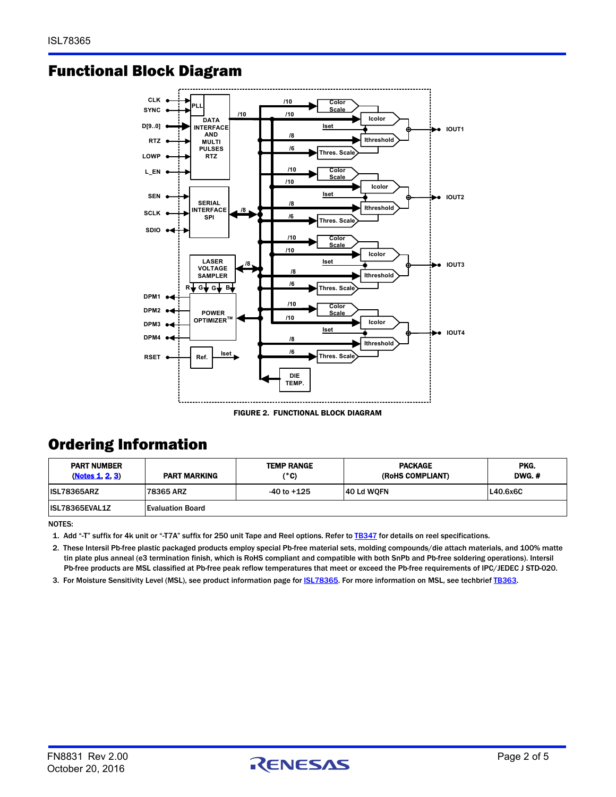#### Functional Block Diagram



FIGURE 2. FUNCTIONAL BLOCK DIAGRAM

#### Ordering Information

| <b>PART NUMBER</b><br>(Notes 1, 2, 3) | <b>PART MARKING</b>     | <b>TEMP RANGE</b><br>(°C) | <b>PACKAGE</b><br>(ROHS COMPLIANT) | PKG.<br>DWG. # |
|---------------------------------------|-------------------------|---------------------------|------------------------------------|----------------|
| <b>ISL78365ARZ</b>                    | 78365 ARZ               | $-40$ to $+125$           | 40 Ld WQFN                         | L40.6x6C       |
| ISL78365EVAL1Z                        | <b>Evaluation Board</b> |                           |                                    |                |

NOTES:

<span id="page-1-0"></span>1. Add "-T" suffix for 4k unit or "-T7A" suffix for 250 unit Tape and Reel options. Refer to [TB347](http://www.intersil.com/content/dam/Intersil/documents/tb34/tb347.pdf) for details on reel specifications.

<span id="page-1-2"></span>2. These Intersil Pb-free plastic packaged products employ special Pb-free material sets, molding compounds/die attach materials, and 100% matte tin plate plus anneal (e3 termination finish, which is RoHS compliant and compatible with both SnPb and Pb-free soldering operations). Intersil Pb-free products are MSL classified at Pb-free peak reflow temperatures that meet or exceed the Pb-free requirements of IPC/JEDEC J STD-020.

<span id="page-1-1"></span>3. For Moisture Sensitivity Level (MSL), see product information page for **ISL78365**. For more information on MSL, see techbrief [TB363.](http://www.intersil.com/content/dam/Intersil/documents/tb36/tb363.pdf)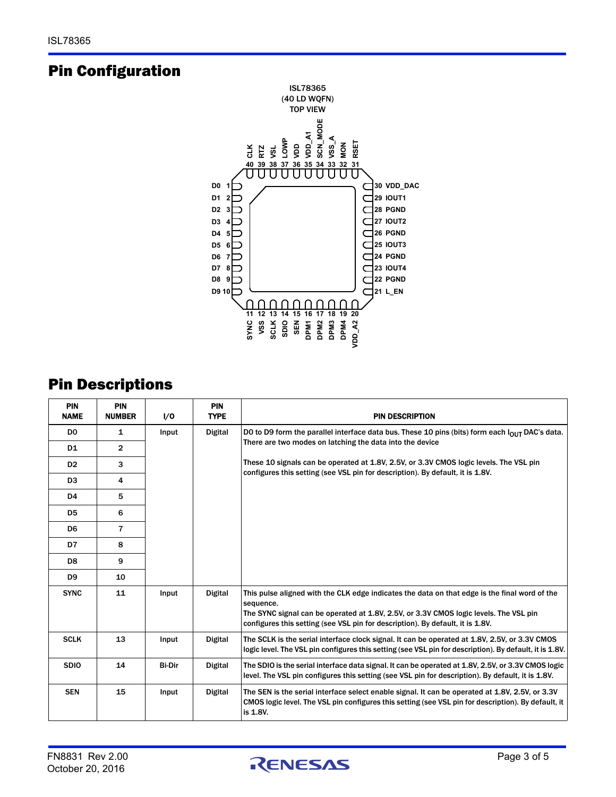#### Pin Configuration



#### Pin Descriptions

| <b>PIN</b><br><b>NAME</b> | <b>PIN</b><br><b>NUMBER</b> | I/O                     | PIN<br><b>TYPE</b> | <b>PIN DESCRIPTION</b>                                                                                                                                                                                                                                                                                                                 |
|---------------------------|-----------------------------|-------------------------|--------------------|----------------------------------------------------------------------------------------------------------------------------------------------------------------------------------------------------------------------------------------------------------------------------------------------------------------------------------------|
| D <sub>0</sub>            | 1                           | <b>Digital</b><br>Input |                    | DO to D9 form the parallel interface data bus. These 10 pins (bits) form each lour DAC's data.<br>There are two modes on latching the data into the device<br>These 10 signals can be operated at 1.8V, 2.5V, or 3.3V CMOS logic levels. The VSL pin<br>configures this setting (see VSL pin for description). By default, it is 1.8V. |
| D1                        | 2                           |                         |                    |                                                                                                                                                                                                                                                                                                                                        |
| D <sub>2</sub>            | 3                           |                         |                    |                                                                                                                                                                                                                                                                                                                                        |
| D <sub>3</sub>            | 4                           |                         |                    |                                                                                                                                                                                                                                                                                                                                        |
| D <sub>4</sub>            | 5                           |                         |                    |                                                                                                                                                                                                                                                                                                                                        |
| D <sub>5</sub>            | 6                           |                         |                    |                                                                                                                                                                                                                                                                                                                                        |
| D6                        | 7                           |                         |                    |                                                                                                                                                                                                                                                                                                                                        |
| D7                        | 8                           |                         |                    |                                                                                                                                                                                                                                                                                                                                        |
| D8                        | 9                           |                         |                    |                                                                                                                                                                                                                                                                                                                                        |
| D9                        | 10                          |                         |                    |                                                                                                                                                                                                                                                                                                                                        |
| <b>SYNC</b>               | 11                          | Input                   | <b>Digital</b>     | This pulse aligned with the CLK edge indicates the data on that edge is the final word of the<br>sequence.<br>The SYNC signal can be operated at 1.8V, 2.5V, or 3.3V CMOS logic levels. The VSL pin<br>configures this setting (see VSL pin for description). By default, it is 1.8V.                                                  |
| <b>SCLK</b>               | 13                          | Input                   | <b>Digital</b>     | The SCLK is the serial interface clock signal. It can be operated at 1.8V, 2.5V, or 3.3V CMOS<br>logic level. The VSL pin configures this setting (see VSL pin for description). By default, it is 1.8V.                                                                                                                               |
| <b>SDIO</b>               | 14                          | <b>Bi-Dir</b>           | <b>Digital</b>     | The SDIO is the serial interface data signal. It can be operated at 1.8V, 2.5V, or 3.3V CMOS logic<br>level. The VSL pin configures this setting (see VSL pin for description). By default, it is 1.8V.                                                                                                                                |
| <b>SEN</b>                | 15                          | Input                   | <b>Digital</b>     | The SEN is the serial interface select enable signal. It can be operated at 1.8V, 2.5V, or 3.3V<br>CMOS logic level. The VSL pin configures this setting (see VSL pin for description). By default, it<br>is 1.8V.                                                                                                                     |

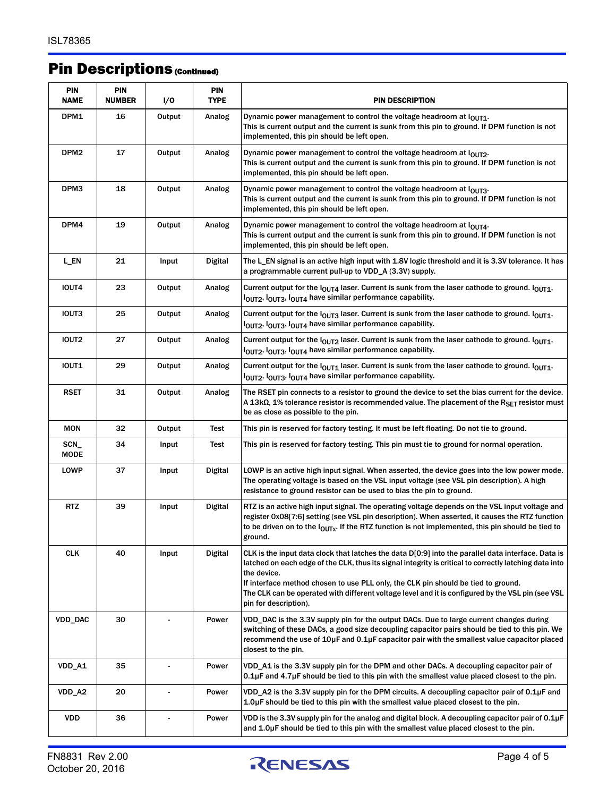## Pin Descriptions (Continued)

| <b>PIN</b><br>NAME | <b>PIN</b><br><b>NUMBER</b> | I/O            | <b>PIN</b><br><b>TYPE</b> | <b>PIN DESCRIPTION</b>                                                                                                                                                                                                                                                                                                                                                                                                                         |  |
|--------------------|-----------------------------|----------------|---------------------------|------------------------------------------------------------------------------------------------------------------------------------------------------------------------------------------------------------------------------------------------------------------------------------------------------------------------------------------------------------------------------------------------------------------------------------------------|--|
| DPM1               | 16                          | Output         | Analog                    | Dynamic power management to control the voltage headroom at lout1.<br>This is current output and the current is sunk from this pin to ground. If DPM function is not<br>implemented, this pin should be left open.                                                                                                                                                                                                                             |  |
| DPM <sub>2</sub>   | 17                          | Output         | Analog                    | Dynamic power management to control the voltage headroom at loury.<br>This is current output and the current is sunk from this pin to ground. If DPM function is not<br>implemented, this pin should be left open.                                                                                                                                                                                                                             |  |
| DPM3               | 18                          | Output         | Analog                    | Dynamic power management to control the voltage headroom at lours.<br>This is current output and the current is sunk from this pin to ground. If DPM function is not<br>implemented, this pin should be left open.                                                                                                                                                                                                                             |  |
| DPM4               | 19                          | Output         | Analog                    | Dynamic power management to control the voltage headroom at loura.<br>This is current output and the current is sunk from this pin to ground. If DPM function is not<br>implemented, this pin should be left open.                                                                                                                                                                                                                             |  |
| L_EN               | 21                          | Input          | <b>Digital</b>            | The L_EN signal is an active high input with 1.8V logic threshold and it is 3.3V tolerance. It has<br>a programmable current pull-up to VDD_A (3.3V) supply.                                                                                                                                                                                                                                                                                   |  |
| <b>IOUT4</b>       | 23                          | Output         | Analog                    | Current output for the $\log_{14}$ laser. Current is sunk from the laser cathode to ground. $\log_{11}$ ,<br>lout2, lout3, lout4 have similar performance capability.                                                                                                                                                                                                                                                                          |  |
| IOUT3              | 25                          | Output         | Analog                    | Current output for the l <sub>OUT3</sub> laser. Current is sunk from the laser cathode to ground. l <sub>OUT1</sub> ,<br>lout2, lout3, lout4 have similar performance capability.                                                                                                                                                                                                                                                              |  |
| <b>IOUT2</b>       | 27                          | Output         | Analog                    | Current output for the $\log_{2}$ laser. Current is sunk from the laser cathode to ground. $\log_{11}$ ,<br>l <sub>OUT2</sub> , l <sub>OUT3</sub> , l <sub>OUT4</sub> have similar performance capability.                                                                                                                                                                                                                                     |  |
| <b>IOUT1</b>       | 29                          | Output         | Analog                    | Current output for the $\log_{11}$ laser. Current is sunk from the laser cathode to ground. $\log_{11}$ ,<br>lout2, lout3, lout4 have similar performance capability.                                                                                                                                                                                                                                                                          |  |
| <b>RSET</b>        | 31                          | Output         | Analog                    | The RSET pin connects to a resistor to ground the device to set the bias current for the device.<br>A 13kΩ, 1% tolerance resistor is recommended value. The placement of the RSET resistor must<br>be as close as possible to the pin.                                                                                                                                                                                                         |  |
| <b>MON</b>         | 32                          | Output         | Test                      | This pin is reserved for factory testing. It must be left floating. Do not tie to ground.                                                                                                                                                                                                                                                                                                                                                      |  |
| $SCN_{-}$<br>MODE  | 34                          | Input          | Test                      | This pin is reserved for factory testing. This pin must tie to ground for normal operation.                                                                                                                                                                                                                                                                                                                                                    |  |
| LOWP               | 37                          | Input          | Digital                   | LOWP is an active high input signal. When asserted, the device goes into the low power mode.<br>The operating voltage is based on the VSL input voltage (see VSL pin description). A high<br>resistance to ground resistor can be used to bias the pin to ground.                                                                                                                                                                              |  |
| <b>RTZ</b>         | 39                          | Input          | Digital                   | RTZ is an active high input signal. The operating voltage depends on the VSL input voltage and<br>register 0x08[7:6] setting (see VSL pin description). When asserted, it causes the RTZ function<br>to be driven on to the $I_{OUTx}$ . If the RTZ function is not implemented, this pin should be tied to<br>ground.                                                                                                                         |  |
| <b>CLK</b>         | 40                          | Input          | <b>Digital</b>            | CLK is the input data clock that latches the data D[0:9] into the parallel data interface. Data is<br>latched on each edge of the CLK, thus its signal integrity is critical to correctly latching data into<br>the device.<br>If interface method chosen to use PLL only, the CLK pin should be tied to ground.<br>The CLK can be operated with different voltage level and it is configured by the VSL pin (see VSL<br>pin for description). |  |
| <b>VDD_DAC</b>     | 30                          |                | Power                     | VDD_DAC is the 3.3V supply pin for the output DACs. Due to large current changes during<br>switching of these DACs, a good size decoupling capacitor pairs should be tied to this pin. We<br>recommend the use of 10µF and 0.1µF capacitor pair with the smallest value capacitor placed<br>closest to the pin.                                                                                                                                |  |
| VDD_A1             | 35                          |                | Power                     | VDD_A1 is the 3.3V supply pin for the DPM and other DACs. A decoupling capacitor pair of<br>$0.1\mu$ F and $4.7\mu$ F should be tied to this pin with the smallest value placed closest to the pin.                                                                                                                                                                                                                                            |  |
| VDD_A2             | 20                          | $\overline{a}$ | Power                     | VDD_A2 is the 3.3V supply pin for the DPM circuits. A decoupling capacitor pair of 0.1µF and<br>1.0µF should be tied to this pin with the smallest value placed closest to the pin.                                                                                                                                                                                                                                                            |  |
| <b>VDD</b>         | 36                          |                | Power                     | VDD is the 3.3V supply pin for the analog and digital block. A decoupling capacitor pair of $0.1\mu$ F<br>and 1.0µF should be tied to this pin with the smallest value placed closest to the pin.                                                                                                                                                                                                                                              |  |

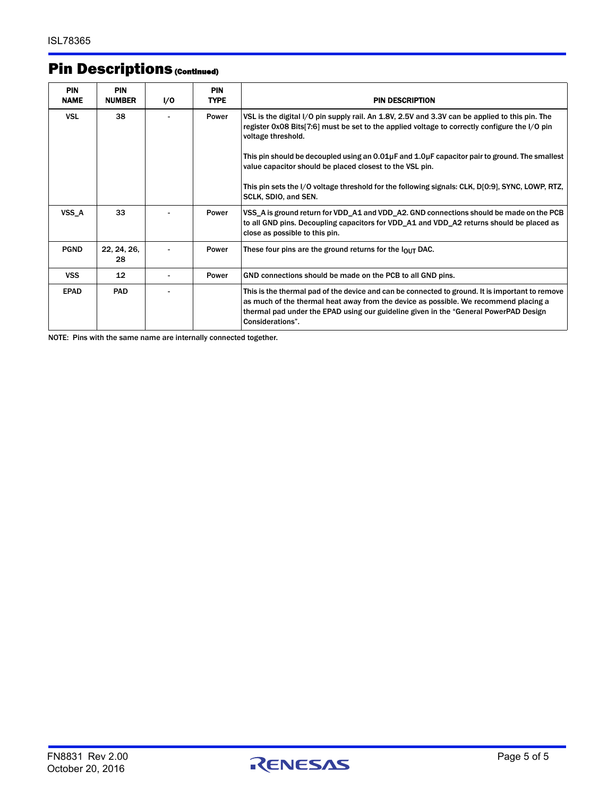## Pin Descriptions (Continued)

| <b>PIN</b><br><b>NAME</b> | <b>PIN</b><br><b>NUMBER</b> | I/O | <b>PIN</b><br><b>TYPE</b> | <b>PIN DESCRIPTION</b>                                                                                                                                                                                                                                                                              |
|---------------------------|-----------------------------|-----|---------------------------|-----------------------------------------------------------------------------------------------------------------------------------------------------------------------------------------------------------------------------------------------------------------------------------------------------|
| <b>VSL</b>                | 38                          |     | Power                     | VSL is the digital I/O pin supply rail. An 1.8V, 2.5V and 3.3V can be applied to this pin. The<br>register 0x08 Bits[7:6] must be set to the applied voltage to correctly configure the I/O pin<br>voltage threshold.                                                                               |
|                           |                             |     |                           | This pin should be decoupled using an $0.01\mu$ F and $1.0\mu$ F capacitor pair to ground. The smallest<br>value capacitor should be placed closest to the VSL pin.                                                                                                                                 |
|                           |                             |     |                           | This pin sets the I/O voltage threshold for the following signals: CLK, D[0:9], SYNC, LOWP, RTZ,<br>SCLK, SDIO, and SEN.                                                                                                                                                                            |
| VSS A                     | 33                          |     | Power                     | VSS_A is ground return for VDD_A1 and VDD_A2. GND connections should be made on the PCB<br>to all GND pins. Decoupling capacitors for VDD_A1 and VDD_A2 returns should be placed as<br>close as possible to this pin.                                                                               |
| <b>PGND</b>               | 22, 24, 26,<br>28           |     | Power                     | These four pins are the ground returns for the $I_{\text{OUT}}$ DAC.                                                                                                                                                                                                                                |
| <b>VSS</b>                | 12                          |     | Power                     | GND connections should be made on the PCB to all GND pins.                                                                                                                                                                                                                                          |
| <b>EPAD</b>               | <b>PAD</b>                  |     |                           | This is the thermal pad of the device and can be connected to ground. It is important to remove<br>as much of the thermal heat away from the device as possible. We recommend placing a<br>thermal pad under the EPAD using our guideline given in the "General PowerPAD Design<br>Considerations". |

NOTE: Pins with the same name are internally connected together.